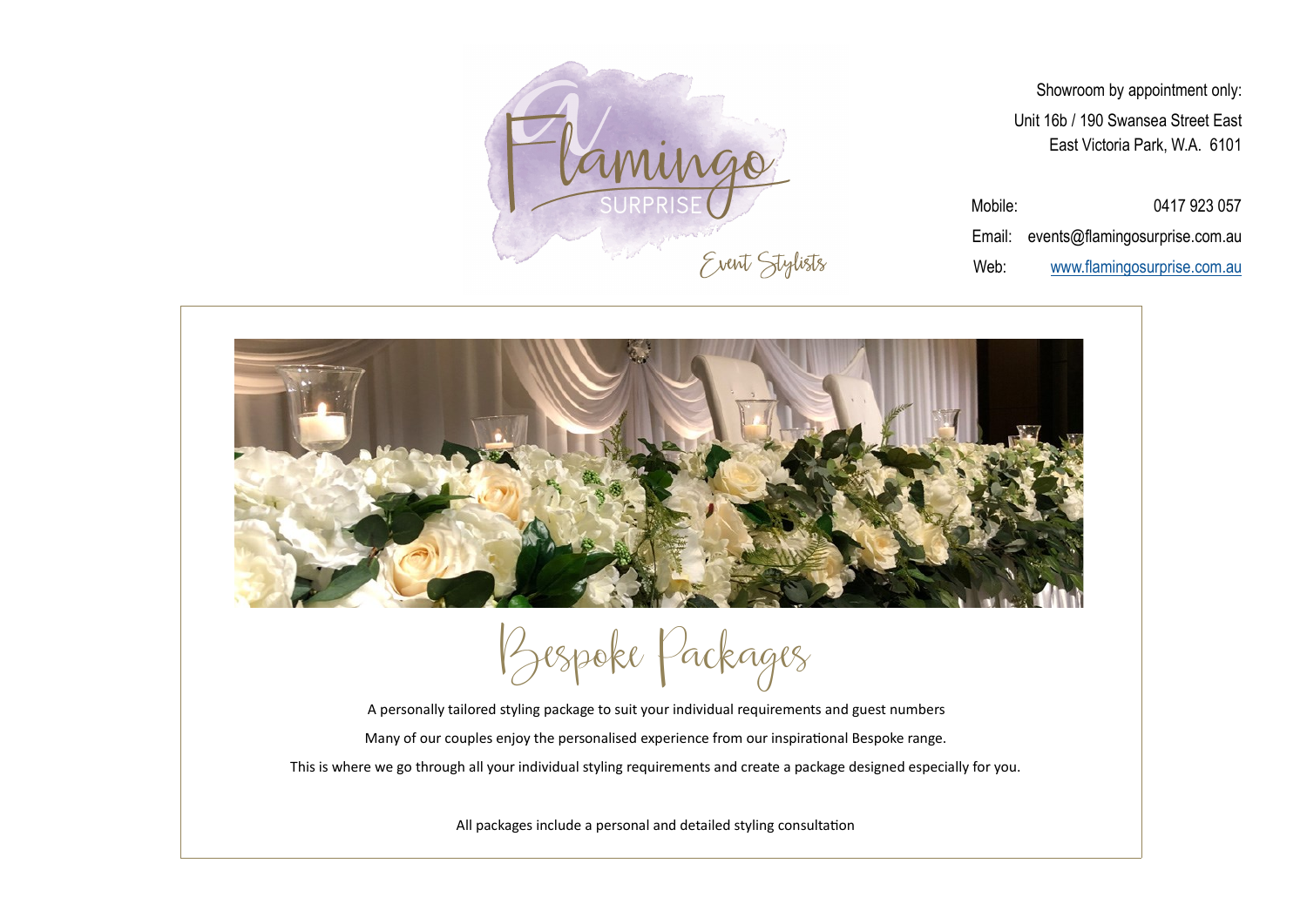



*Bespoke Packages*

A personally tailored styling package to suit your individual requirements and guest numbers Many of our couples enjoy the personalised experience from our inspirational Bespoke range. This is where we go through all your individual styling requirements and create a package designed especially for you.

All packages include a personal and detailed styling consultation

Showroom by appointment only: Unit 16b / 190 Swansea Street East East Victoria Park, W.A. 6101

Mobile: 0417 923 057

Email: events@flamingosurprise.com.au

Web: [www.flamingosurprise.com.au](https://www.flamingosurprise.com.au/)